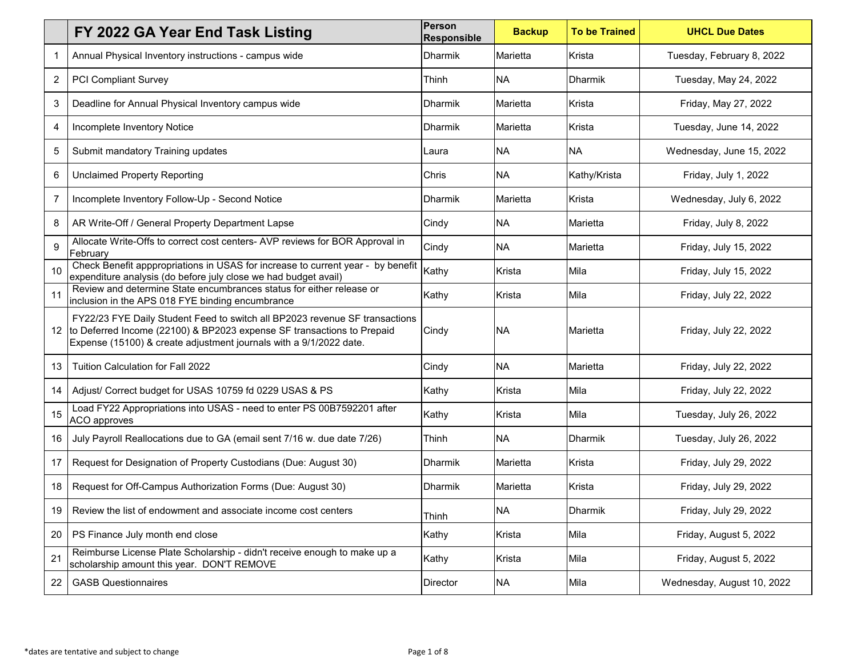|                | FY 2022 GA Year End Task Listing                                                                                                                                                                                            | <b>Person</b><br><b>Responsible</b> | <b>Backup</b> | <b>To be Trained</b> | <b>UHCL Due Dates</b>      |
|----------------|-----------------------------------------------------------------------------------------------------------------------------------------------------------------------------------------------------------------------------|-------------------------------------|---------------|----------------------|----------------------------|
|                | Annual Physical Inventory instructions - campus wide                                                                                                                                                                        | <b>Dharmik</b>                      | Marietta      | Krista               | Tuesday, February 8, 2022  |
| $\overline{c}$ | <b>PCI Compliant Survey</b>                                                                                                                                                                                                 | Thinh                               | <b>NA</b>     | Dharmik              | Tuesday, May 24, 2022      |
| 3              | Deadline for Annual Physical Inventory campus wide                                                                                                                                                                          | <b>Dharmik</b>                      | Marietta      | Krista               | Friday, May 27, 2022       |
| 4              | Incomplete Inventory Notice                                                                                                                                                                                                 | <b>Dharmik</b>                      | Marietta      | Krista               | Tuesday, June 14, 2022     |
| 5              | Submit mandatory Training updates                                                                                                                                                                                           | Laura                               | <b>NA</b>     | <b>NA</b>            | Wednesday, June 15, 2022   |
| 6              | <b>Unclaimed Property Reporting</b>                                                                                                                                                                                         | Chris                               | <b>NA</b>     | Kathy/Krista         | Friday, July 1, 2022       |
| $\overline{7}$ | Incomplete Inventory Follow-Up - Second Notice                                                                                                                                                                              | <b>Dharmik</b>                      | Marietta      | Krista               | Wednesday, July 6, 2022    |
| 8              | AR Write-Off / General Property Department Lapse                                                                                                                                                                            | Cindy                               | <b>NA</b>     | Marietta             | Friday, July 8, 2022       |
| 9              | Allocate Write-Offs to correct cost centers- AVP reviews for BOR Approval in<br>February                                                                                                                                    | Cindy                               | <b>NA</b>     | Marietta             | Friday, July 15, 2022      |
| 10             | Check Benefit apppropriations in USAS for increase to current year - by benefit<br>expenditure analysis (do before july close we had budget avail)                                                                          | Kathy                               | Krista        | Mila                 | Friday, July 15, 2022      |
| 11             | Review and determine State encumbrances status for either release or<br>inclusion in the APS 018 FYE binding encumbrance                                                                                                    | Kathy                               | Krista        | Mila                 | Friday, July 22, 2022      |
| 12             | FY22/23 FYE Daily Student Feed to switch all BP2023 revenue SF transactions<br>to Deferred Income (22100) & BP2023 expense SF transactions to Prepaid<br>Expense (15100) & create adjustment journals with a 9/1/2022 date. | Cindy                               | <b>NA</b>     | Marietta             | Friday, July 22, 2022      |
| 13             | Tuition Calculation for Fall 2022                                                                                                                                                                                           | Cindy                               | <b>NA</b>     | Marietta             | Friday, July 22, 2022      |
| 14             | Adjust/ Correct budget for USAS 10759 fd 0229 USAS & PS                                                                                                                                                                     | Kathy                               | Krista        | Mila                 | Friday, July 22, 2022      |
| 15             | Load FY22 Appropriations into USAS - need to enter PS 00B7592201 after<br>ACO approves                                                                                                                                      | Kathy                               | Krista        | Mila                 | Tuesday, July 26, 2022     |
| 16             | July Payroll Reallocations due to GA (email sent 7/16 w. due date 7/26)                                                                                                                                                     | Thinh                               | <b>NA</b>     | <b>Dharmik</b>       | Tuesday, July 26, 2022     |
| 17             | Request for Designation of Property Custodians (Due: August 30)                                                                                                                                                             | Dharmik                             | Marietta      | Krista               | Friday, July 29, 2022      |
| 18             | Request for Off-Campus Authorization Forms (Due: August 30)                                                                                                                                                                 | <b>Dharmik</b>                      | Marietta      | Krista               | Friday, July 29, 2022      |
| 19             | Review the list of endowment and associate income cost centers                                                                                                                                                              | Thinh                               | <b>NA</b>     | Dharmik              | Friday, July 29, 2022      |
| 20             | PS Finance July month end close                                                                                                                                                                                             | Kathy                               | Krista        | Mila                 | Friday, August 5, 2022     |
| 21             | Reimburse License Plate Scholarship - didn't receive enough to make up a<br>scholarship amount this year. DON'T REMOVE                                                                                                      | Kathy                               | Krista        | Mila                 | Friday, August 5, 2022     |
| 22             | <b>GASB Questionnaires</b>                                                                                                                                                                                                  | Director                            | <b>NA</b>     | Mila                 | Wednesday, August 10, 2022 |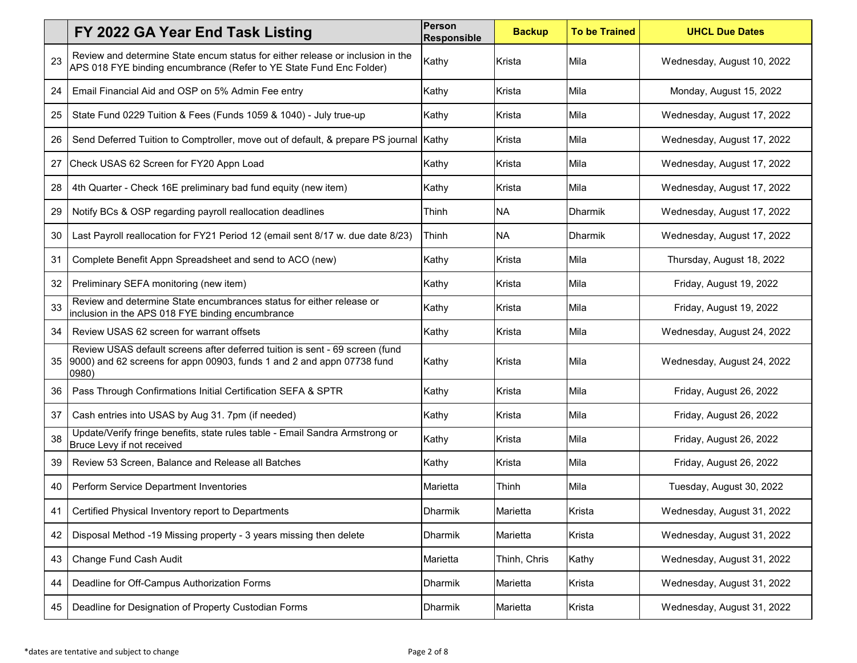|    | FY 2022 GA Year End Task Listing                                                                                                                                | <b>Person</b><br><b>Responsible</b> | <b>Backup</b> | <b>To be Trained</b> | <b>UHCL Due Dates</b>      |
|----|-----------------------------------------------------------------------------------------------------------------------------------------------------------------|-------------------------------------|---------------|----------------------|----------------------------|
| 23 | Review and determine State encum status for either release or inclusion in the<br>APS 018 FYE binding encumbrance (Refer to YE State Fund Enc Folder)           | Kathy                               | Krista        | Mila                 | Wednesday, August 10, 2022 |
| 24 | Email Financial Aid and OSP on 5% Admin Fee entry                                                                                                               | Kathy                               | Krista        | Mila                 | Monday, August 15, 2022    |
| 25 | State Fund 0229 Tuition & Fees (Funds 1059 & 1040) - July true-up                                                                                               | Kathy                               | Krista        | Mila                 | Wednesday, August 17, 2022 |
| 26 | Send Deferred Tuition to Comptroller, move out of default, & prepare PS journal                                                                                 | Kathy                               | Krista        | Mila                 | Wednesday, August 17, 2022 |
| 27 | Check USAS 62 Screen for FY20 Appn Load                                                                                                                         | Kathy                               | Krista        | Mila                 | Wednesday, August 17, 2022 |
| 28 | 4th Quarter - Check 16E preliminary bad fund equity (new item)                                                                                                  | Kathy                               | Krista        | Mila                 | Wednesday, August 17, 2022 |
| 29 | Notify BCs & OSP regarding payroll reallocation deadlines                                                                                                       | Thinh                               | <b>NA</b>     | <b>Dharmik</b>       | Wednesday, August 17, 2022 |
| 30 | Last Payroll reallocation for FY21 Period 12 (email sent 8/17 w. due date 8/23)                                                                                 | Thinh                               | <b>NA</b>     | <b>Dharmik</b>       | Wednesday, August 17, 2022 |
| 31 | Complete Benefit Appn Spreadsheet and send to ACO (new)                                                                                                         | Kathy                               | Krista        | Mila                 | Thursday, August 18, 2022  |
| 32 | Preliminary SEFA monitoring (new item)                                                                                                                          | Kathy                               | Krista        | Mila                 | Friday, August 19, 2022    |
| 33 | Review and determine State encumbrances status for either release or<br>inclusion in the APS 018 FYE binding encumbrance                                        | Kathy                               | Krista        | Mila                 | Friday, August 19, 2022    |
| 34 | Review USAS 62 screen for warrant offsets                                                                                                                       | Kathy                               | Krista        | Mila                 | Wednesday, August 24, 2022 |
| 35 | Review USAS default screens after deferred tuition is sent - 69 screen (fund<br>9000) and 62 screens for appn 00903, funds 1 and 2 and appn 07738 fund<br>0980) | Kathy                               | Krista        | Mila                 | Wednesday, August 24, 2022 |
| 36 | Pass Through Confirmations Initial Certification SEFA & SPTR                                                                                                    | Kathy                               | Krista        | Mila                 | Friday, August 26, 2022    |
| 37 | Cash entries into USAS by Aug 31. 7pm (if needed)                                                                                                               | Kathy                               | Krista        | Mila                 | Friday, August 26, 2022    |
| 38 | Update/Verify fringe benefits, state rules table - Email Sandra Armstrong or<br>Bruce Levy if not received                                                      | Kathy                               | Krista        | Mila                 | Friday, August 26, 2022    |
| 39 | Review 53 Screen, Balance and Release all Batches                                                                                                               | Kathy                               | Krista        | Mila                 | Friday, August 26, 2022    |
| 40 | Perform Service Department Inventories                                                                                                                          | Marietta                            | Thinh         | Mila                 | Tuesday, August 30, 2022   |
| 41 | Certified Physical Inventory report to Departments                                                                                                              | Dharmik                             | Marietta      | Krista               | Wednesday, August 31, 2022 |
| 42 | Disposal Method -19 Missing property - 3 years missing then delete                                                                                              | Dharmik                             | Marietta      | Krista               | Wednesday, August 31, 2022 |
| 43 | Change Fund Cash Audit                                                                                                                                          | Marietta                            | Thinh, Chris  | Kathy                | Wednesday, August 31, 2022 |
| 44 | Deadline for Off-Campus Authorization Forms                                                                                                                     | Dharmik                             | Marietta      | Krista               | Wednesday, August 31, 2022 |
| 45 | Deadline for Designation of Property Custodian Forms                                                                                                            | Dharmik                             | Marietta      | Krista               | Wednesday, August 31, 2022 |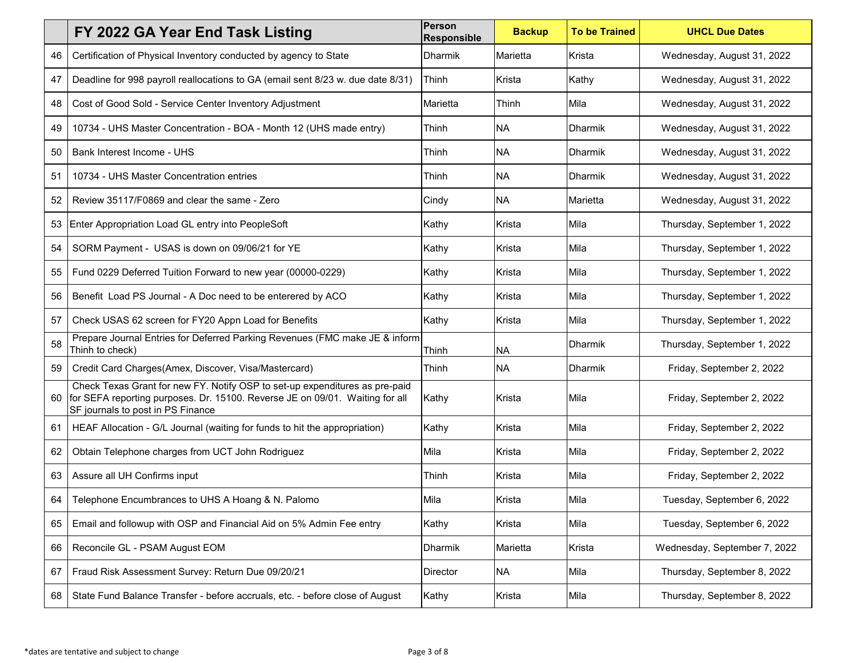|    | FY 2022 GA Year End Task Listing                                                                                                                                                                 | Person<br><b>Responsible</b> | <b>Backup</b> | <b>To be Trained</b> | <b>UHCL Due Dates</b>        |
|----|--------------------------------------------------------------------------------------------------------------------------------------------------------------------------------------------------|------------------------------|---------------|----------------------|------------------------------|
| 46 | Certification of Physical Inventory conducted by agency to State                                                                                                                                 | <b>Dharmik</b>               | Marietta      | Krista               | Wednesday, August 31, 2022   |
| 47 | Deadline for 998 payroll reallocations to GA (email sent 8/23 w. due date 8/31)                                                                                                                  | Thinh                        | Krista        | Kathy                | Wednesday, August 31, 2022   |
| 48 | Cost of Good Sold - Service Center Inventory Adjustment                                                                                                                                          | Marietta                     | Thinh         | Mila                 | Wednesday, August 31, 2022   |
| 49 | 10734 - UHS Master Concentration - BOA - Month 12 (UHS made entry)                                                                                                                               | Thinh                        | <b>NA</b>     | <b>Dharmik</b>       | Wednesday, August 31, 2022   |
| 50 | Bank Interest Income - UHS                                                                                                                                                                       | Thinh                        | <b>NA</b>     | <b>Dharmik</b>       | Wednesday, August 31, 2022   |
| 51 | 10734 - UHS Master Concentration entries                                                                                                                                                         | Thinh                        | <b>NA</b>     | Dharmik              | Wednesday, August 31, 2022   |
| 52 | Review 35117/F0869 and clear the same - Zero                                                                                                                                                     | Cindy                        | <b>NA</b>     | Marietta             | Wednesday, August 31, 2022   |
| 53 | Enter Appropriation Load GL entry into PeopleSoft                                                                                                                                                | Kathy                        | Krista        | Mila                 | Thursday, September 1, 2022  |
| 54 | SORM Payment - USAS is down on 09/06/21 for YE                                                                                                                                                   | Kathy                        | Krista        | Mila                 | Thursday, September 1, 2022  |
| 55 | Fund 0229 Deferred Tuition Forward to new year (00000-0229)                                                                                                                                      | Kathy                        | Krista        | Mila                 | Thursday, September 1, 2022  |
| 56 | Benefit Load PS Journal - A Doc need to be enterered by ACO                                                                                                                                      | Kathy                        | Krista        | Mila                 | Thursday, September 1, 2022  |
| 57 | Check USAS 62 screen for FY20 Appn Load for Benefits                                                                                                                                             | Kathy                        | Krista        | Mila                 | Thursday, September 1, 2022  |
| 58 | Prepare Journal Entries for Deferred Parking Revenues (FMC make JE & inform<br>Thinh to check)                                                                                                   | Thinh                        | <b>NA</b>     | <b>Dharmik</b>       | Thursday, September 1, 2022  |
| 59 | Credit Card Charges(Amex, Discover, Visa/Mastercard)                                                                                                                                             | Thinh                        | <b>NA</b>     | <b>Dharmik</b>       | Friday, September 2, 2022    |
| 60 | Check Texas Grant for new FY. Notify OSP to set-up expenditures as pre-paid<br>for SEFA reporting purposes. Dr. 15100. Reverse JE on 09/01. Waiting for all<br>SF journals to post in PS Finance | Kathy                        | Krista        | Mila                 | Friday, September 2, 2022    |
| 61 | HEAF Allocation - G/L Journal (waiting for funds to hit the appropriation)                                                                                                                       | Kathy                        | Krista        | Mila                 | Friday, September 2, 2022    |
| 62 | Obtain Telephone charges from UCT John Rodriguez                                                                                                                                                 | Mila                         | Krista        | Mila                 | Friday, September 2, 2022    |
| 63 | Assure all UH Confirms input                                                                                                                                                                     | Thinh                        | Krista        | Mila                 | Friday, September 2, 2022    |
| 64 | Telephone Encumbrances to UHS A Hoang & N. Palomo                                                                                                                                                | Mila                         | Krista        | Mila                 | Tuesday, September 6, 2022   |
| 65 | Email and followup with OSP and Financial Aid on 5% Admin Fee entry                                                                                                                              | Kathy                        | Krista        | Mila                 | Tuesday, September 6, 2022   |
| 66 | Reconcile GL - PSAM August EOM                                                                                                                                                                   | <b>Dharmik</b>               | Marietta      | Krista               | Wednesday, September 7, 2022 |
| 67 | Fraud Risk Assessment Survey: Return Due 09/20/21                                                                                                                                                | <b>Director</b>              | <b>NA</b>     | Mila                 | Thursday, September 8, 2022  |
| 68 | State Fund Balance Transfer - before accruals, etc. - before close of August                                                                                                                     | Kathy                        | Krista        | Mila                 | Thursday, September 8, 2022  |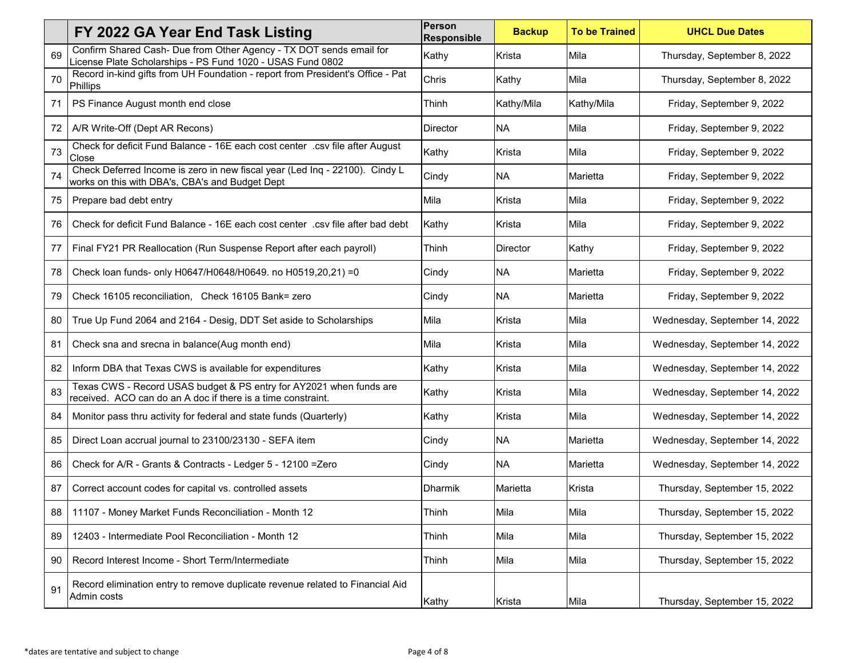|    | FY 2022 GA Year End Task Listing                                                                                                    | <b>Person</b><br><b>Responsible</b> | <b>Backup</b>   | <b>To be Trained</b> | <b>UHCL Due Dates</b>         |
|----|-------------------------------------------------------------------------------------------------------------------------------------|-------------------------------------|-----------------|----------------------|-------------------------------|
| 69 | Confirm Shared Cash- Due from Other Agency - TX DOT sends email for<br>License Plate Scholarships - PS Fund 1020 - USAS Fund 0802   | Kathy                               | Krista          | Mila                 | Thursday, September 8, 2022   |
| 70 | Record in-kind gifts from UH Foundation - report from President's Office - Pat<br>Phillips                                          | Chris                               | Kathy           | Mila                 | Thursday, September 8, 2022   |
| 71 | PS Finance August month end close                                                                                                   | Thinh                               | Kathy/Mila      | Kathy/Mila           | Friday, September 9, 2022     |
| 72 | A/R Write-Off (Dept AR Recons)                                                                                                      | <b>Director</b>                     | <b>NA</b>       | Mila                 | Friday, September 9, 2022     |
| 73 | Check for deficit Fund Balance - 16E each cost center .csv file after August<br>Close                                               | Kathy                               | Krista          | Mila                 | Friday, September 9, 2022     |
| 74 | Check Deferred Income is zero in new fiscal year (Led Inq - 22100). Cindy L<br>works on this with DBA's, CBA's and Budget Dept      | Cindy                               | <b>NA</b>       | Marietta             | Friday, September 9, 2022     |
| 75 | Prepare bad debt entry                                                                                                              | Mila                                | Krista          | Mila                 | Friday, September 9, 2022     |
| 76 | Check for deficit Fund Balance - 16E each cost center .csv file after bad debt                                                      | Kathy                               | Krista          | Mila                 | Friday, September 9, 2022     |
| 77 | Final FY21 PR Reallocation (Run Suspense Report after each payroll)                                                                 | Thinh                               | <b>Director</b> | Kathy                | Friday, September 9, 2022     |
| 78 | Check loan funds- only H0647/H0648/H0649. no H0519,20,21) = 0                                                                       | Cindy                               | <b>NA</b>       | Marietta             | Friday, September 9, 2022     |
| 79 | Check 16105 reconciliation, Check 16105 Bank= zero                                                                                  | Cindy                               | <b>NA</b>       | Marietta             | Friday, September 9, 2022     |
| 80 | True Up Fund 2064 and 2164 - Desig, DDT Set aside to Scholarships                                                                   | Mila                                | Krista          | Mila                 | Wednesday, September 14, 2022 |
| 81 | Check sna and srecna in balance(Aug month end)                                                                                      | Mila                                | Krista          | Mila                 | Wednesday, September 14, 2022 |
| 82 | Inform DBA that Texas CWS is available for expenditures                                                                             | Kathy                               | Krista          | Mila                 | Wednesday, September 14, 2022 |
| 83 | Texas CWS - Record USAS budget & PS entry for AY2021 when funds are<br>received. ACO can do an A doc if there is a time constraint. | Kathy                               | Krista          | Mila                 | Wednesday, September 14, 2022 |
| 84 | Monitor pass thru activity for federal and state funds (Quarterly)                                                                  | Kathy                               | Krista          | Mila                 | Wednesday, September 14, 2022 |
| 85 | Direct Loan accrual journal to 23100/23130 - SEFA item                                                                              | Cindy                               | <b>NA</b>       | Marietta             | Wednesday, September 14, 2022 |
| 86 | Check for A/R - Grants & Contracts - Ledger 5 - 12100 = Zero                                                                        | Cindy                               | <b>NA</b>       | Marietta             | Wednesday, September 14, 2022 |
| 87 | Correct account codes for capital vs. controlled assets                                                                             | <b>Dharmik</b>                      | Marietta        | Krista               | Thursday, September 15, 2022  |
| 88 | 11107 - Money Market Funds Reconciliation - Month 12                                                                                | Thinh                               | Mila            | Mila                 | Thursday, September 15, 2022  |
| 89 | 12403 - Intermediate Pool Reconciliation - Month 12                                                                                 | Thinh                               | Mila            | Mila                 | Thursday, September 15, 2022  |
| 90 | Record Interest Income - Short Term/Intermediate                                                                                    | Thinh                               | Mila            | Mila                 | Thursday, September 15, 2022  |
| 91 | Record elimination entry to remove duplicate revenue related to Financial Aid<br>Admin costs                                        | Kathy                               | Krista          | Mila                 | Thursday, September 15, 2022  |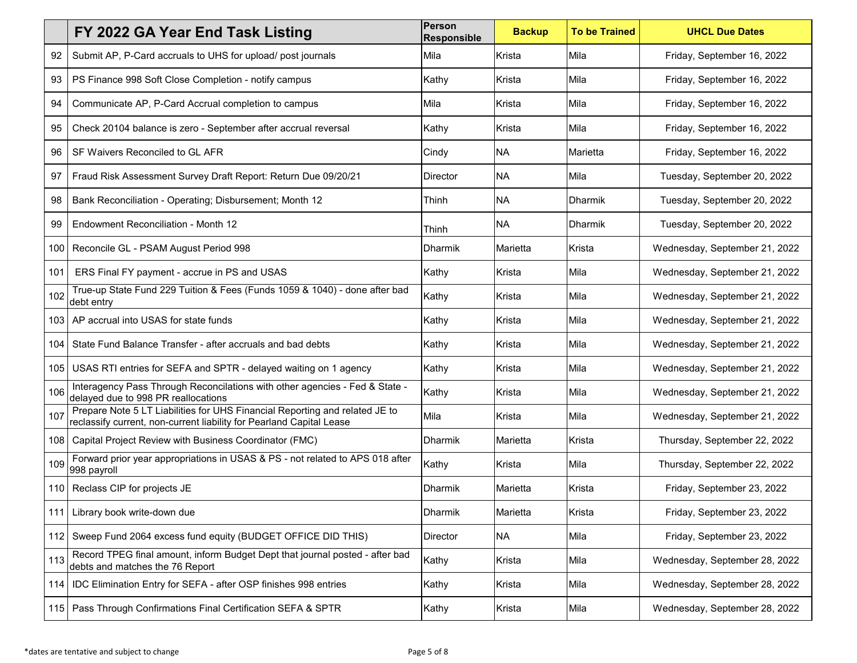|                  | FY 2022 GA Year End Task Listing                                                                                                                    | Person<br><b>Responsible</b> | <b>Backup</b> | <b>To be Trained</b> | <b>UHCL Due Dates</b>         |
|------------------|-----------------------------------------------------------------------------------------------------------------------------------------------------|------------------------------|---------------|----------------------|-------------------------------|
| 92               | Submit AP, P-Card accruals to UHS for upload/ post journals                                                                                         | Mila                         | Krista        | Mila                 | Friday, September 16, 2022    |
| 93               | PS Finance 998 Soft Close Completion - notify campus                                                                                                | Kathy                        | Krista        | Mila                 | Friday, September 16, 2022    |
| 94               | Communicate AP, P-Card Accrual completion to campus                                                                                                 | Mila                         | Krista        | Mila                 | Friday, September 16, 2022    |
| 95               | Check 20104 balance is zero - September after accrual reversal                                                                                      | Kathy                        | Krista        | Mila                 | Friday, September 16, 2022    |
| 96               | SF Waivers Reconciled to GL AFR                                                                                                                     | Cindy                        | <b>NA</b>     | Marietta             | Friday, September 16, 2022    |
| 97               | Fraud Risk Assessment Survey Draft Report: Return Due 09/20/21                                                                                      | Director                     | <b>NA</b>     | Mila                 | Tuesday, September 20, 2022   |
| 98               | Bank Reconciliation - Operating; Disbursement; Month 12                                                                                             | Thinh                        | <b>NA</b>     | <b>Dharmik</b>       | Tuesday, September 20, 2022   |
| 99               | Endowment Reconciliation - Month 12                                                                                                                 | Thinh                        | <b>NA</b>     | Dharmik              | Tuesday, September 20, 2022   |
| 100              | Reconcile GL - PSAM August Period 998                                                                                                               | Dharmik                      | Marietta      | Krista               | Wednesday, September 21, 2022 |
| 101              | ERS Final FY payment - accrue in PS and USAS                                                                                                        | Kathy                        | Krista        | Mila                 | Wednesday, September 21, 2022 |
| 102              | True-up State Fund 229 Tuition & Fees (Funds 1059 & 1040) - done after bad<br>debt entry                                                            | Kathy                        | Krista        | Mila                 | Wednesday, September 21, 2022 |
| 103 <sub>1</sub> | AP accrual into USAS for state funds                                                                                                                | Kathy                        | Krista        | Mila                 | Wednesday, September 21, 2022 |
| 104              | State Fund Balance Transfer - after accruals and bad debts                                                                                          | Kathy                        | Krista        | Mila                 | Wednesday, September 21, 2022 |
| 105              | USAS RTI entries for SEFA and SPTR - delayed waiting on 1 agency                                                                                    | Kathy                        | Krista        | Mila                 | Wednesday, September 21, 2022 |
| 106              | Interagency Pass Through Reconcilations with other agencies - Fed & State -<br>delayed due to 998 PR reallocations                                  | Kathy                        | Krista        | Mila                 | Wednesday, September 21, 2022 |
| 107              | Prepare Note 5 LT Liabilities for UHS Financial Reporting and related JE to<br>reclassify current, non-current liability for Pearland Capital Lease | Mila                         | Krista        | Mila                 | Wednesday, September 21, 2022 |
| 108              | Capital Project Review with Business Coordinator (FMC)                                                                                              | <b>Dharmik</b>               | Marietta      | Krista               | Thursday, September 22, 2022  |
| 109              | Forward prior year appropriations in USAS & PS - not related to APS 018 after<br>998 payroll                                                        | Kathy                        | Krista        | Mila                 | Thursday, September 22, 2022  |
|                  | 110 Reclass CIP for projects JE                                                                                                                     | Dharmik                      | Marietta      | Krista               | Friday, September 23, 2022    |
|                  | 111 Library book write-down due                                                                                                                     | Dharmik                      | Marietta      | Krista               | Friday, September 23, 2022    |
|                  | 112 Sweep Fund 2064 excess fund equity (BUDGET OFFICE DID THIS)                                                                                     | Director                     | <b>NA</b>     | Mila                 | Friday, September 23, 2022    |
| 113              | Record TPEG final amount, inform Budget Dept that journal posted - after bad<br>debts and matches the 76 Report                                     | Kathy                        | Krista        | Mila                 | Wednesday, September 28, 2022 |
| 114              | <b>IDC Elimination Entry for SEFA - after OSP finishes 998 entries</b>                                                                              | Kathy                        | Krista        | Mila                 | Wednesday, September 28, 2022 |
|                  | 115   Pass Through Confirmations Final Certification SEFA & SPTR                                                                                    | Kathy                        | Krista        | Mila                 | Wednesday, September 28, 2022 |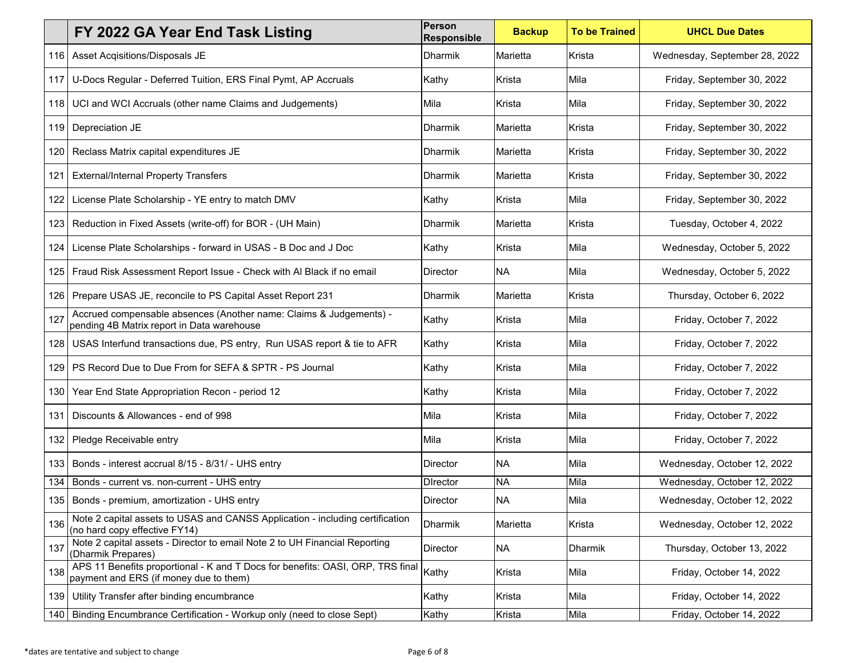|       | FY 2022 GA Year End Task Listing                                                                                         | Person<br><b>Responsible</b> | <b>Backup</b> | <b>To be Trained</b> | <b>UHCL Due Dates</b>         |
|-------|--------------------------------------------------------------------------------------------------------------------------|------------------------------|---------------|----------------------|-------------------------------|
| 116.  | Asset Acqisitions/Disposals JE                                                                                           | <b>Dharmik</b>               | Marietta      | Krista               | Wednesday, September 28, 2022 |
| 117   | U-Docs Regular - Deferred Tuition, ERS Final Pymt, AP Accruals                                                           | Kathy                        | Krista        | Mila                 | Friday, September 30, 2022    |
| 118   | UCI and WCI Accruals (other name Claims and Judgements)                                                                  | Mila                         | Krista        | Mila                 | Friday, September 30, 2022    |
| 119   | Depreciation JE                                                                                                          | Dharmik                      | Marietta      | Krista               | Friday, September 30, 2022    |
| 120   | Reclass Matrix capital expenditures JE                                                                                   | <b>Dharmik</b>               | Marietta      | Krista               | Friday, September 30, 2022    |
| 121   | <b>External/Internal Property Transfers</b>                                                                              | <b>Dharmik</b>               | Marietta      | Krista               | Friday, September 30, 2022    |
| 122   | License Plate Scholarship - YE entry to match DMV                                                                        | Kathy                        | Krista        | Mila                 | Friday, September 30, 2022    |
| 123   | Reduction in Fixed Assets (write-off) for BOR - (UH Main)                                                                | <b>Dharmik</b>               | Marietta      | Krista               | Tuesday, October 4, 2022      |
| 124   | License Plate Scholarships - forward in USAS - B Doc and J Doc                                                           | Kathy                        | Krista        | Mila                 | Wednesday, October 5, 2022    |
| 125   | Fraud Risk Assessment Report Issue - Check with Al Black if no email                                                     | Director                     | <b>NA</b>     | Mila                 | Wednesday, October 5, 2022    |
| 126.  | Prepare USAS JE, reconcile to PS Capital Asset Report 231                                                                | <b>Dharmik</b>               | Marietta      | Krista               | Thursday, October 6, 2022     |
| 127   | Accrued compensable absences (Another name: Claims & Judgements) -<br>pending 4B Matrix report in Data warehouse         | Kathy                        | Krista        | Mila                 | Friday, October 7, 2022       |
| 128.  | USAS Interfund transactions due, PS entry, Run USAS report & tie to AFR                                                  | Kathy                        | Krista        | Mila                 | Friday, October 7, 2022       |
| 129   | PS Record Due to Due From for SEFA & SPTR - PS Journal                                                                   | Kathy                        | Krista        | Mila                 | Friday, October 7, 2022       |
| 130   | Year End State Appropriation Recon - period 12                                                                           | Kathy                        | Krista        | Mila                 | Friday, October 7, 2022       |
| 131   | Discounts & Allowances - end of 998                                                                                      | Mila                         | Krista        | Mila                 | Friday, October 7, 2022       |
| 132   | Pledge Receivable entry                                                                                                  | Mila                         | Krista        | Mila                 | Friday, October 7, 2022       |
| 133.  | Bonds - interest accrual 8/15 - 8/31/ - UHS entry                                                                        | <b>Director</b>              | <b>NA</b>     | Mila                 | Wednesday, October 12, 2022   |
| 134   | Bonds - current vs. non-current - UHS entry                                                                              | <b>D</b> Irector             | <b>NA</b>     | Mila                 | Wednesday, October 12, 2022   |
|       | 135   Bonds - premium, amortization - UHS entry                                                                          | Director                     | <b>NA</b>     | Mila                 | Wednesday, October 12, 2022   |
| 136   | Note 2 capital assets to USAS and CANSS Application - including certification<br>(no hard copy effective FY14)           | <b>Dharmik</b>               | Marietta      | Krista               | Wednesday, October 12, 2022   |
| 137   | Note 2 capital assets - Director to email Note 2 to UH Financial Reporting<br>(Dharmik Prepares)                         | Director                     | <b>NA</b>     | Dharmik              | Thursday, October 13, 2022    |
| 138   | APS 11 Benefits proportional - K and T Docs for benefits: OASI, ORP, TRS final<br>payment and ERS (if money due to them) | Kathy                        | Krista        | Mila                 | Friday, October 14, 2022      |
| 139 I | Utility Transfer after binding encumbrance                                                                               | Kathy                        | Krista        | Mila                 | Friday, October 14, 2022      |
| 140   | Binding Encumbrance Certification - Workup only (need to close Sept)                                                     | Kathy                        | Krista        | Mila                 | Friday, October 14, 2022      |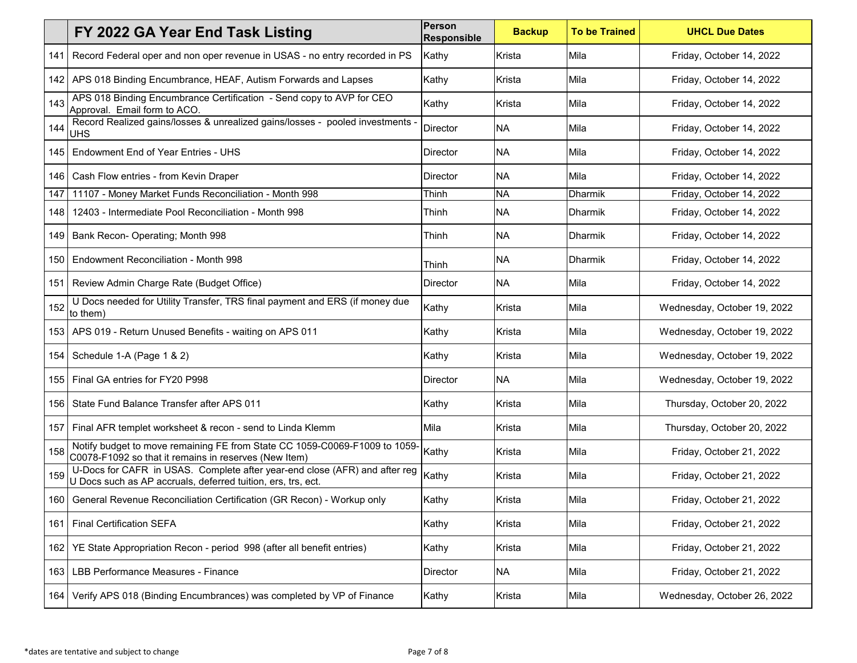|      | FY 2022 GA Year End Task Listing                                                                                                           | Person<br><b>Responsible</b> | <b>Backup</b> | <b>To be Trained</b> | <b>UHCL Due Dates</b>       |
|------|--------------------------------------------------------------------------------------------------------------------------------------------|------------------------------|---------------|----------------------|-----------------------------|
| 141  | Record Federal oper and non oper revenue in USAS - no entry recorded in PS                                                                 | Kathy                        | Krista        | Mila                 | Friday, October 14, 2022    |
|      | 142 APS 018 Binding Encumbrance, HEAF, Autism Forwards and Lapses                                                                          | Kathy                        | Krista        | Mila                 | Friday, October 14, 2022    |
| 143  | APS 018 Binding Encumbrance Certification - Send copy to AVP for CEO<br>Approval. Email form to ACO.                                       | Kathy                        | Krista        | Mila                 | Friday, October 14, 2022    |
| 144  | Record Realized gains/losses & unrealized gains/losses - pooled investments -<br><b>UHS</b>                                                | <b>Director</b>              | <b>NA</b>     | Mila                 | Friday, October 14, 2022    |
| 145  | <b>Endowment End of Year Entries - UHS</b>                                                                                                 | Director                     | <b>NA</b>     | Mila                 | Friday, October 14, 2022    |
| 146  | Cash Flow entries - from Kevin Draper                                                                                                      | <b>Director</b>              | <b>NA</b>     | Mila                 | Friday, October 14, 2022    |
| 147  | 11107 - Money Market Funds Reconciliation - Month 998                                                                                      | Thinh                        | <b>NA</b>     | Dharmik              | Friday, October 14, 2022    |
| 148  | 12403 - Intermediate Pool Reconciliation - Month 998                                                                                       | Thinh                        | <b>NA</b>     | Dharmik              | Friday, October 14, 2022    |
| 149  | Bank Recon- Operating; Month 998                                                                                                           | Thinh                        | <b>NA</b>     | <b>Dharmik</b>       | Friday, October 14, 2022    |
| 150  | Endowment Reconciliation - Month 998                                                                                                       | Thinh                        | <b>NA</b>     | Dharmik              | Friday, October 14, 2022    |
| 151  | Review Admin Charge Rate (Budget Office)                                                                                                   | <b>Director</b>              | <b>NA</b>     | Mila                 | Friday, October 14, 2022    |
| 152  | U Docs needed for Utility Transfer, TRS final payment and ERS (if money due<br>to them)                                                    | Kathy                        | Krista        | Mila                 | Wednesday, October 19, 2022 |
|      | 153   APS 019 - Return Unused Benefits - waiting on APS 011                                                                                | Kathy                        | Krista        | Mila                 | Wednesday, October 19, 2022 |
|      | 154   Schedule 1-A (Page 1 & 2)                                                                                                            | Kathy                        | Krista        | Mila                 | Wednesday, October 19, 2022 |
| 155  | Final GA entries for FY20 P998                                                                                                             | <b>Director</b>              | <b>NA</b>     | Mila                 | Wednesday, October 19, 2022 |
| 156  | State Fund Balance Transfer after APS 011                                                                                                  | Kathy                        | Krista        | Mila                 | Thursday, October 20, 2022  |
| 157  | Final AFR templet worksheet & recon - send to Linda Klemm                                                                                  | Mila                         | Krista        | Mila                 | Thursday, October 20, 2022  |
| 158  | Notify budget to move remaining FE from State CC 1059-C0069-F1009 to 1059-<br>C0078-F1092 so that it remains in reserves (New Item)        | Kathy                        | Krista        | Mila                 | Friday, October 21, 2022    |
| 159  | U-Docs for CAFR in USAS. Complete after year-end close (AFR) and after reg<br>U Docs such as AP accruals, deferred tuition, ers, trs, ect. | Kathy                        | Krista        | Mila                 | Friday, October 21, 2022    |
|      | 160   General Revenue Reconciliation Certification (GR Recon) - Workup only                                                                | Kathy                        | Krista        | Mila                 | Friday, October 21, 2022    |
| 161  | <b>Final Certification SEFA</b>                                                                                                            | Kathy                        | Krista        | Mila                 | Friday, October 21, 2022    |
| 162  | YE State Appropriation Recon - period 998 (after all benefit entries)                                                                      | Kathy                        | Krista        | Mila                 | Friday, October 21, 2022    |
| 163. | LBB Performance Measures - Finance                                                                                                         | Director                     | <b>NA</b>     | Mila                 | Friday, October 21, 2022    |
|      | 164   Verify APS 018 (Binding Encumbrances) was completed by VP of Finance                                                                 | Kathy                        | Krista        | Mila                 | Wednesday, October 26, 2022 |